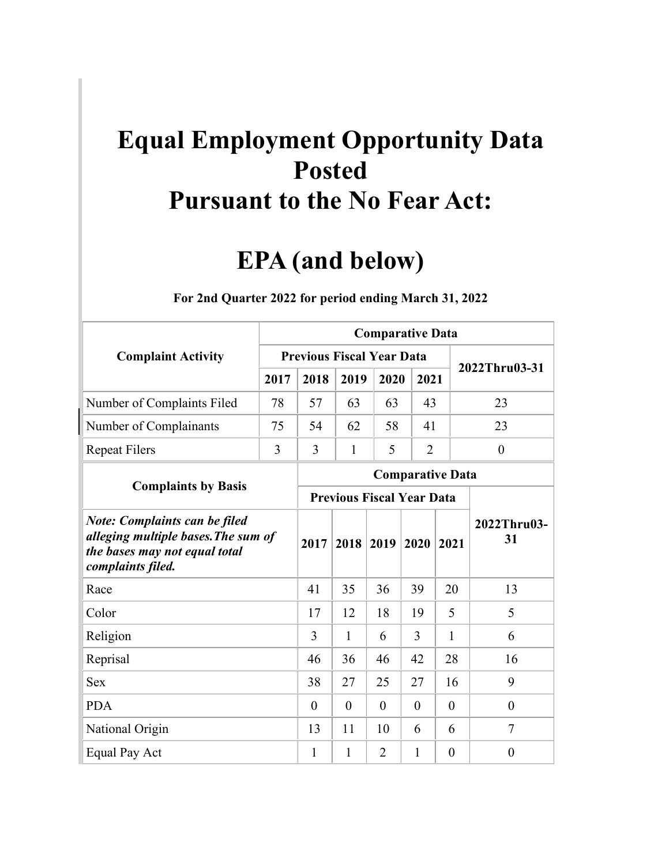## **Equal Employment Opportunity Data Posted Pursuant to the No Fear Act:**

## **EPA (and below)**

|                                                                                                                                   |      | <b>Comparative Data</b>          |                                  |                |                  |                         |                   |  |  |  |  |  |  |
|-----------------------------------------------------------------------------------------------------------------------------------|------|----------------------------------|----------------------------------|----------------|------------------|-------------------------|-------------------|--|--|--|--|--|--|
| <b>Complaint Activity</b>                                                                                                         |      | <b>Previous Fiscal Year Data</b> |                                  |                |                  |                         | 2022Thru03-31     |  |  |  |  |  |  |
|                                                                                                                                   | 2017 | 2018                             | 2019                             | 2020           | 2021             |                         |                   |  |  |  |  |  |  |
| Number of Complaints Filed                                                                                                        | 78   | 57                               | 63                               | 63             | 43               |                         | 23                |  |  |  |  |  |  |
| Number of Complainants                                                                                                            | 75   | 54                               | 62                               | 58             | 41               |                         | 23                |  |  |  |  |  |  |
| <b>Repeat Filers</b>                                                                                                              | 3    | $\overline{3}$                   | 1                                | $\overline{2}$ | $\boldsymbol{0}$ |                         |                   |  |  |  |  |  |  |
|                                                                                                                                   |      |                                  |                                  |                |                  | <b>Comparative Data</b> |                   |  |  |  |  |  |  |
| <b>Complaints by Basis</b>                                                                                                        |      |                                  | <b>Previous Fiscal Year Data</b> |                |                  |                         |                   |  |  |  |  |  |  |
| <b>Note: Complaints can be filed</b><br>alleging multiple bases. The sum of<br>the bases may not equal total<br>complaints filed. |      | 2017                             | 2018                             | 2019           | 2020             | 2021                    | 2022Thru03-<br>31 |  |  |  |  |  |  |
| Race                                                                                                                              |      | 41                               | 35                               | 36             | 39               | 20                      | 13                |  |  |  |  |  |  |
| Color                                                                                                                             |      | 17                               | 12                               | 18             | 19               | 5                       | 5                 |  |  |  |  |  |  |
| Religion                                                                                                                          |      | 3                                | $\mathbf{1}$                     | 6              | 3                | $\mathbf{1}$            | 6                 |  |  |  |  |  |  |
| Reprisal                                                                                                                          |      | 46                               | 36                               | 46             | 42               | 28                      | 16                |  |  |  |  |  |  |
| <b>Sex</b>                                                                                                                        |      | 38                               | 27                               | 25             | 27               | 16                      | 9                 |  |  |  |  |  |  |
| <b>PDA</b>                                                                                                                        |      | $\theta$                         | $\theta$                         | $\theta$       | $\overline{0}$   | $\overline{0}$          | $\theta$          |  |  |  |  |  |  |
| National Origin                                                                                                                   |      | 13                               | 11                               | 10             | 6                | 6                       | $\tau$            |  |  |  |  |  |  |
| Equal Pay Act                                                                                                                     |      | 1                                | 1                                | $\overline{2}$ | 1                | $\overline{0}$          | $\overline{0}$    |  |  |  |  |  |  |

**For 2nd Quarter 2022 for period ending March 31, 2022**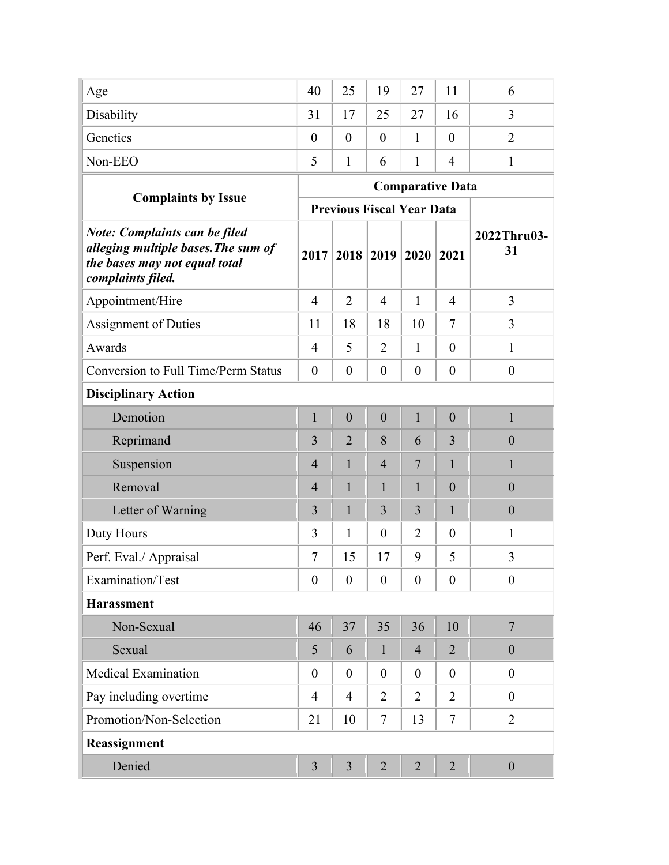| Age                                                                                                                               | 40               | 25                               | 19               | 27             | 11                      | 6                 |
|-----------------------------------------------------------------------------------------------------------------------------------|------------------|----------------------------------|------------------|----------------|-------------------------|-------------------|
| Disability                                                                                                                        | 31               | 17                               | 25               | 27             | 16                      | 3                 |
| Genetics                                                                                                                          | $\theta$         | $\theta$                         | $\theta$         | 1              | $\theta$                | $\overline{2}$    |
| Non-EEO                                                                                                                           | 5                | $\mathbf{1}$                     | 6                | 1              | $\overline{4}$          | 1                 |
|                                                                                                                                   |                  |                                  |                  |                | <b>Comparative Data</b> |                   |
| <b>Complaints by Issue</b>                                                                                                        |                  | <b>Previous Fiscal Year Data</b> |                  |                |                         |                   |
| <b>Note: Complaints can be filed</b><br>alleging multiple bases. The sum of<br>the bases may not equal total<br>complaints filed. | 2017             | 2018                             | 2019             | 2020           | 2021                    | 2022Thru03-<br>31 |
| Appointment/Hire                                                                                                                  | $\overline{4}$   | 2                                | $\overline{4}$   | $\mathbf{1}$   | $\overline{4}$          | 3                 |
| <b>Assignment of Duties</b>                                                                                                       | 11               | 18                               | 18               | 10             | $\tau$                  | 3                 |
| Awards                                                                                                                            | $\overline{4}$   | 5                                | $\overline{2}$   | $\mathbf{1}$   | $\theta$                | $\mathbf{1}$      |
| <b>Conversion to Full Time/Perm Status</b>                                                                                        | $\theta$         | $\theta$                         | $\theta$         | $\overline{0}$ | $\overline{0}$          | $\boldsymbol{0}$  |
| <b>Disciplinary Action</b>                                                                                                        |                  |                                  |                  |                |                         |                   |
| Demotion                                                                                                                          | $\mathbf{1}$     | $\mathbf{0}$                     | $\theta$         | $\mathbf{1}$   | $\mathbf{0}$            | $\mathbf{1}$      |
| Reprimand                                                                                                                         | $\overline{3}$   | $\overline{2}$                   | 8                | 6              | 3                       | $\boldsymbol{0}$  |
| Suspension                                                                                                                        | $\overline{4}$   | 1                                | $\overline{4}$   | 7              | 1                       | 1                 |
| Removal                                                                                                                           | $\overline{4}$   | $\mathbf{1}$                     | $\mathbf{1}$     | $\mathbf{1}$   | $\overline{0}$          | $\boldsymbol{0}$  |
| Letter of Warning                                                                                                                 | 3                | $\mathbf{1}$                     | 3                | 3              | $\mathbf{1}$            | $\boldsymbol{0}$  |
| Duty Hours                                                                                                                        | 3                | 1                                | $\boldsymbol{0}$ | $\overline{2}$ | $\overline{0}$          | $\mathbf{1}$      |
| Perf. Eval./ Appraisal                                                                                                            | 7                | 15                               | 17               | 9              | 5                       | 3                 |
| Examination/Test                                                                                                                  | $\boldsymbol{0}$ | $\boldsymbol{0}$                 | $\overline{0}$   | $\theta$       | $\theta$                | $\boldsymbol{0}$  |
| <b>Harassment</b>                                                                                                                 |                  |                                  |                  |                |                         |                   |
| Non-Sexual                                                                                                                        | 46               | 37                               | 35               | 36             | 10                      | $\overline{7}$    |
| Sexual                                                                                                                            | 5                | 6                                | $\mathbf{1}$     | $\overline{4}$ | $\overline{2}$          | $\boldsymbol{0}$  |
| <b>Medical Examination</b>                                                                                                        | $\overline{0}$   | $\overline{0}$                   | $\theta$         | $\theta$       | $\theta$                | $\boldsymbol{0}$  |
| Pay including overtime                                                                                                            | $\overline{4}$   | $\overline{4}$                   | $\overline{2}$   | $\overline{2}$ | 2                       | $\boldsymbol{0}$  |
| Promotion/Non-Selection                                                                                                           | 21               | 10                               | $\tau$           | 13             | $\tau$                  | $\overline{2}$    |
| Reassignment                                                                                                                      |                  |                                  |                  |                |                         |                   |
| Denied                                                                                                                            | $\overline{3}$   | $\overline{3}$                   | $\overline{2}$   | $\overline{2}$ | $\overline{2}$          | $\boldsymbol{0}$  |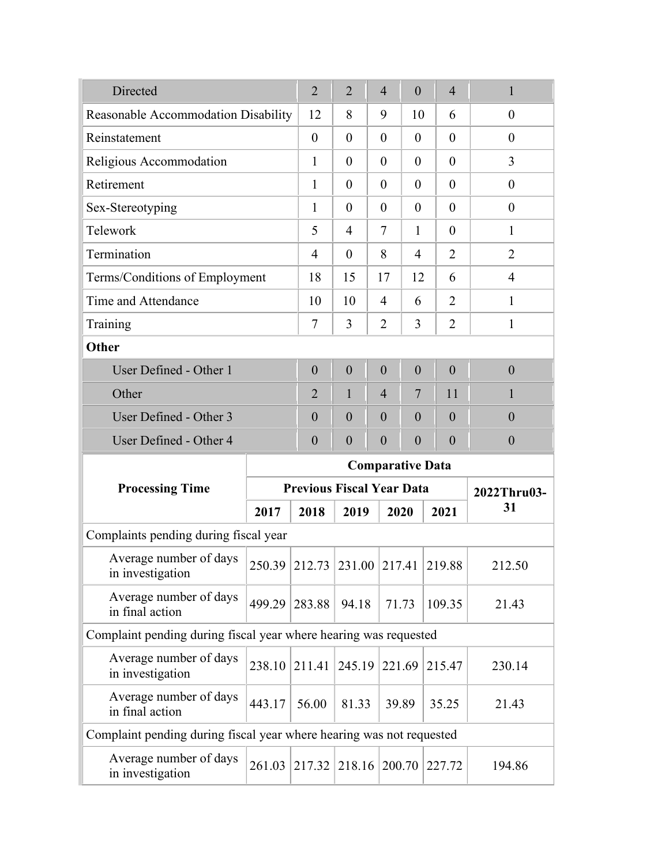| Directed                                                             |        | $\overline{2}$              | $\overline{2}$                                  | $\overline{4}$    | $\theta$         | $\overline{4}$ |                | $\mathbf{1}$     |        |        |  |  |
|----------------------------------------------------------------------|--------|-----------------------------|-------------------------------------------------|-------------------|------------------|----------------|----------------|------------------|--------|--------|--|--|
| Reasonable Accommodation Disability                                  |        | 12                          | 8                                               | 9                 | 10               |                | 6              | $\overline{0}$   |        |        |  |  |
| Reinstatement                                                        |        | $\theta$                    | $\theta$                                        | $\theta$          | $\theta$         |                | $\theta$       | $\theta$         |        |        |  |  |
| Religious Accommodation                                              |        | 1                           | $\theta$                                        | $\overline{0}$    | $\overline{0}$   |                | $\overline{0}$ | $\overline{3}$   |        |        |  |  |
| Retirement                                                           |        | 1                           | $\theta$                                        | $\theta$          | $\theta$         |                | $\overline{0}$ | $\boldsymbol{0}$ |        |        |  |  |
| Sex-Stereotyping                                                     |        | $\mathbf{1}$                | $\theta$                                        | $\theta$          | $\overline{0}$   |                | $\overline{0}$ | $\boldsymbol{0}$ |        |        |  |  |
| Telework                                                             |        | 5                           | $\overline{4}$                                  | 7<br>$\mathbf{1}$ |                  |                | $\theta$       | 1                |        |        |  |  |
| Termination                                                          |        | 4                           | $\theta$                                        | 8                 |                  |                | $\overline{2}$ | $\overline{2}$   |        |        |  |  |
| Terms/Conditions of Employment                                       |        | 18                          | 15                                              | 17                | 12               |                | 6              | $\overline{4}$   |        |        |  |  |
| Time and Attendance                                                  |        | 10                          | 10                                              | $\overline{4}$    | 6                |                | $\overline{2}$ | 1                |        |        |  |  |
| Training                                                             |        | $\tau$                      | 3                                               | $\overline{2}$    | 3                |                | $\overline{2}$ | $\mathbf{1}$     |        |        |  |  |
| Other                                                                |        |                             |                                                 |                   |                  |                |                |                  |        |        |  |  |
| User Defined - Other 1                                               |        | $\overline{0}$              | $\boldsymbol{0}$                                | $\overline{0}$    | $\boldsymbol{0}$ |                | $\overline{0}$ | $\overline{0}$   |        |        |  |  |
| Other                                                                |        | $\overline{2}$              | $\mathbf{1}$                                    | $\overline{4}$    | 7                |                | 11             | 1                |        |        |  |  |
| User Defined - Other 3                                               |        | $\boldsymbol{0}$            | $\boldsymbol{0}$                                | $\overline{0}$    | $\overline{0}$   |                | $\overline{0}$ | $\boldsymbol{0}$ |        |        |  |  |
| User Defined - Other 4                                               |        | $\theta$                    | $\overline{0}$                                  | $\overline{0}$    | $\theta$         |                | $\overline{0}$ | $\boldsymbol{0}$ |        |        |  |  |
|                                                                      |        |                             | <b>Comparative Data</b>                         |                   |                  |                |                |                  |        |        |  |  |
| <b>Processing Time</b>                                               |        |                             | <b>Previous Fiscal Year Data</b><br>2022Thru03- |                   |                  |                |                |                  |        |        |  |  |
|                                                                      | 2017   | 2018                        | 2019                                            |                   | 2020             |                | 2021           | 31               |        |        |  |  |
| Complaints pending during fiscal year                                |        |                             |                                                 |                   |                  |                |                |                  |        |        |  |  |
| Average number of days<br>in investigation                           |        | 250.39 212.73 231.00 217.41 |                                                 |                   |                  |                | 219.88         | 212.50           |        |        |  |  |
| Average number of days<br>in final action                            |        | 499.29 283.88               | 94.18                                           |                   | 71.73            |                | 109.35         | 21.43            |        |        |  |  |
| Complaint pending during fiscal year where hearing was requested     |        |                             |                                                 |                   |                  |                |                |                  |        |        |  |  |
| Average number of days<br>in investigation                           | 238.10 | 211.41                      | 245.19                                          |                   | 221.69           |                |                |                  | 215.47 | 230.14 |  |  |
| Average number of days<br>in final action                            | 443.17 | 56.00                       | 81.33                                           |                   | 39.89            |                | 35.25          | 21.43            |        |        |  |  |
| Complaint pending during fiscal year where hearing was not requested |        |                             |                                                 |                   |                  |                |                |                  |        |        |  |  |
| Average number of days<br>in investigation                           | 261.03 | 217.32                      | 218.16                                          | 200.70            |                  | 227.72         |                | 194.86           |        |        |  |  |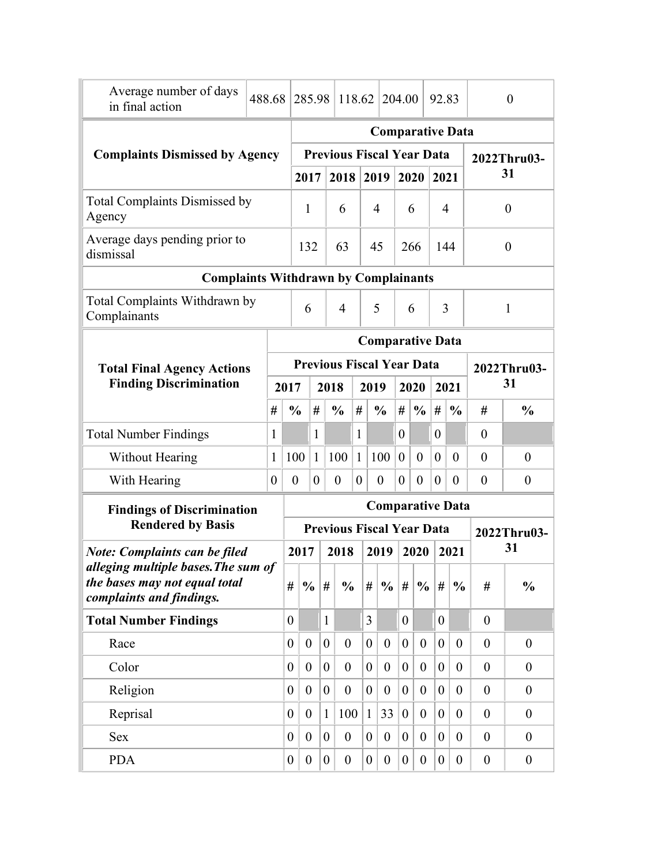| Average number of days<br>in final action                            | 488.68         |                | 285.98              |                  |                         | 118.62                           |                  |                  |                  | 204.00           |                  | 92.83            |                         |                  | $\theta$         |
|----------------------------------------------------------------------|----------------|----------------|---------------------|------------------|-------------------------|----------------------------------|------------------|------------------|------------------|------------------|------------------|------------------|-------------------------|------------------|------------------|
|                                                                      |                |                |                     |                  |                         |                                  |                  |                  |                  |                  |                  |                  | <b>Comparative Data</b> |                  |                  |
| <b>Complaints Dismissed by Agency</b>                                |                |                |                     |                  |                         | <b>Previous Fiscal Year Data</b> |                  |                  |                  |                  |                  |                  |                         |                  | 2022Thru03-      |
|                                                                      |                |                |                     | 2017             |                         | 2018                             |                  |                  | 2019             |                  | 2020             | 2021             |                         |                  | 31               |
| <b>Total Complaints Dismissed by</b><br>Agency                       |                |                |                     | 1<br>6           |                         | 4                                |                  | 6                |                  | 4                |                  | $\boldsymbol{0}$ |                         |                  |                  |
| Average days pending prior to<br>dismissal                           |                |                |                     | 132<br>63        |                         |                                  | 45               |                  |                  |                  | 266              |                  | 144                     |                  | $\boldsymbol{0}$ |
| <b>Complaints Withdrawn by Complainants</b>                          |                |                |                     |                  |                         |                                  |                  |                  |                  |                  |                  |                  |                         |                  |                  |
| Total Complaints Withdrawn by<br>Complainants                        |                |                | $\overline{4}$<br>6 |                  |                         |                                  |                  | 5                |                  |                  | 6                | 3                |                         |                  | $\mathbf{1}$     |
|                                                                      |                |                |                     |                  | <b>Comparative Data</b> |                                  |                  |                  |                  |                  |                  |                  |                         |                  |                  |
| <b>Total Final Agency Actions</b>                                    |                |                |                     |                  |                         | <b>Previous Fiscal Year Data</b> |                  |                  |                  |                  |                  |                  |                         |                  | 2022Thru03-      |
| <b>Finding Discrimination</b>                                        |                | 2017           |                     |                  | 2018                    |                                  |                  | 2019             |                  | 2020             |                  | 2021             |                         | 31               |                  |
|                                                                      |                | #              | $\frac{0}{0}$       | #                |                         | $\frac{0}{0}$                    | #                |                  | $\frac{0}{0}$    | #                | $\frac{0}{0}$    | #                | $\frac{0}{0}$           | #                | $\frac{0}{0}$    |
| <b>Total Number Findings</b>                                         | $\mathbf{1}$   |                |                     | 1                |                         |                                  | 1                |                  |                  | $\overline{0}$   |                  | $\overline{0}$   |                         | $\boldsymbol{0}$ |                  |
| Without Hearing                                                      | 1              |                | 100                 | $\mathbf{1}$     |                         | 100                              | $\mathbf{1}$     |                  | 100              | $\mathbf{0}$     | $\mathbf{0}$     | $\overline{0}$   | $\theta$                | $\theta$         | $\boldsymbol{0}$ |
| With Hearing                                                         | $\overline{0}$ |                | $\boldsymbol{0}$    | $\theta$         |                         | $\boldsymbol{0}$                 | $\boldsymbol{0}$ |                  | $\overline{0}$   | $\overline{0}$   | $\theta$         | $\overline{0}$   | $\theta$                | $\boldsymbol{0}$ | $\boldsymbol{0}$ |
| <b>Findings of Discrimination</b>                                    |                |                |                     |                  |                         |                                  |                  |                  |                  |                  |                  |                  | <b>Comparative Data</b> |                  |                  |
| <b>Rendered by Basis</b>                                             |                |                |                     |                  |                         | <b>Previous Fiscal Year Data</b> |                  |                  |                  |                  |                  |                  |                         |                  | 2022Thru03-      |
| <b>Note: Complaints can be filed</b>                                 |                |                | 2017                |                  |                         | 2018                             |                  |                  | 2019             |                  | 2020             |                  | 2021                    |                  | 31               |
| alleging multiple bases. The sum of<br>the bases may not equal total |                | #              |                     | $\frac{0}{0}$    | #                       | $\frac{0}{0}$                    |                  | #                | $\frac{0}{0}$    | #                | $\frac{0}{0}$    | #                | $\frac{0}{0}$           | #                | $\frac{0}{0}$    |
| complaints and findings.                                             |                |                |                     |                  |                         |                                  |                  |                  |                  |                  |                  |                  |                         |                  |                  |
| <b>Total Number Findings</b>                                         |                | $\overline{0}$ |                     |                  | $\mathbf{1}$            |                                  |                  | $\overline{3}$   |                  | $\overline{0}$   |                  | $\overline{0}$   |                         | $\overline{0}$   |                  |
| Race                                                                 |                | $\overline{0}$ |                     | $\boldsymbol{0}$ | $\overline{0}$          | $\overline{0}$                   |                  | $\boldsymbol{0}$ | $\boldsymbol{0}$ | $\overline{0}$   | $\overline{0}$   | $\theta$         | $\boldsymbol{0}$        | $\theta$         | $\boldsymbol{0}$ |
| Color                                                                |                | $\overline{0}$ |                     | $\overline{0}$   | $\overline{0}$          | $\boldsymbol{0}$                 |                  | $\boldsymbol{0}$ | $\boldsymbol{0}$ | $\overline{0}$   | $\theta$         | $\overline{0}$   | $\overline{0}$          | $\overline{0}$   | $\overline{0}$   |
| Religion                                                             |                | $\overline{0}$ |                     | $\theta$         | $\overline{0}$          | $\boldsymbol{0}$                 |                  | $\theta$         | $\theta$         | $\theta$         | $\theta$         | $\theta$         | $\overline{0}$          | $\overline{0}$   | $\theta$         |
| Reprisal                                                             |                | $\overline{0}$ |                     | $\theta$         | $\mathbf{1}$            | 100                              |                  | $\mathbf{1}$     | 33               | $\theta$         | $\theta$         | $\theta$         | $\overline{0}$          | $\overline{0}$   | $\theta$         |
| <b>Sex</b>                                                           |                | $\overline{0}$ |                     | $\overline{0}$   | $\overline{0}$          | $\boldsymbol{0}$                 |                  | $\boldsymbol{0}$ | $\boldsymbol{0}$ | $\overline{0}$   | $\overline{0}$   | $\overline{0}$   | $\boldsymbol{0}$        | $\overline{0}$   | $\theta$         |
| <b>PDA</b>                                                           |                | 0              |                     | $\overline{0}$   | $\overline{0}$          | $\boldsymbol{0}$                 |                  | $\boldsymbol{0}$ | $\boldsymbol{0}$ | $\boldsymbol{0}$ | $\boldsymbol{0}$ | $\overline{0}$   | $\boldsymbol{0}$        | $\boldsymbol{0}$ | $\boldsymbol{0}$ |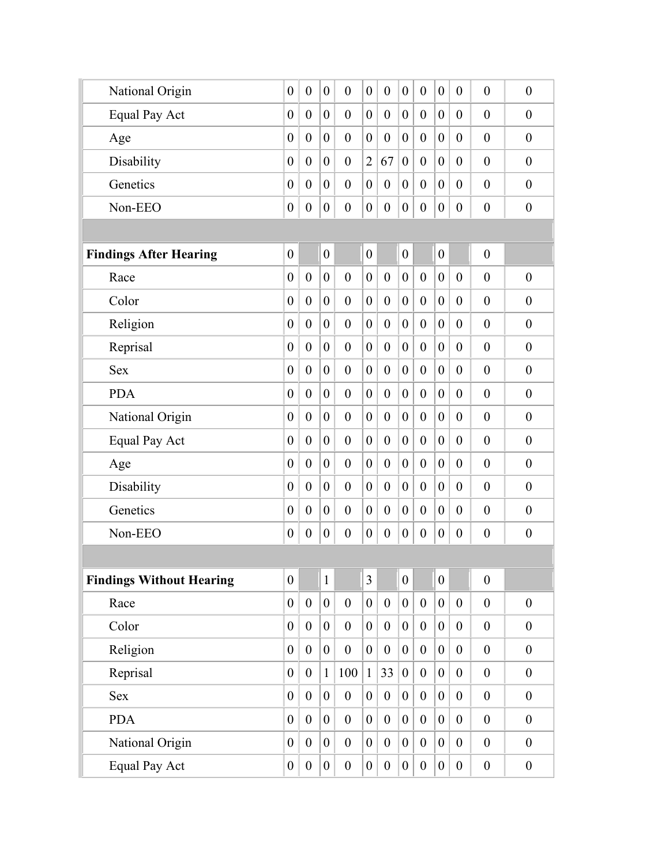| National Origin                 | $\overline{0}$   | $\overline{0}$   | $\boldsymbol{0}$ | $\overline{0}$   | $\boldsymbol{0}$ | $\overline{0}$   | $\boldsymbol{0}$ | $\theta$         | $\boldsymbol{0}$ | $\boldsymbol{0}$ | $\overline{0}$   | $\overline{0}$   |
|---------------------------------|------------------|------------------|------------------|------------------|------------------|------------------|------------------|------------------|------------------|------------------|------------------|------------------|
| <b>Equal Pay Act</b>            | $\boldsymbol{0}$ | $\theta$         | $\overline{0}$   | $\overline{0}$   | $\overline{0}$   | $\overline{0}$   | $\boldsymbol{0}$ | $\overline{0}$   | $\overline{0}$   | $\overline{0}$   | $\overline{0}$   | $\boldsymbol{0}$ |
| Age                             | $\overline{0}$   | $\theta$         | $\overline{0}$   | $\theta$         | $\boldsymbol{0}$ | $\theta$         | $\boldsymbol{0}$ | $\theta$         | $\overline{0}$   | $\theta$         | $\overline{0}$   | $\overline{0}$   |
| Disability                      | $\theta$         | $\theta$         | $\overline{0}$   | $\theta$         | $\overline{2}$   | 67               | $\boldsymbol{0}$ | $\overline{0}$   | $\overline{0}$   | $\theta$         | $\overline{0}$   | $\theta$         |
| Genetics                        | $\overline{0}$   | $\overline{0}$   | $\overline{0}$   | $\overline{0}$   | $\boldsymbol{0}$ | $\overline{0}$   | $\boldsymbol{0}$ | $\overline{0}$   | $\overline{0}$   | $\theta$         | $\overline{0}$   | $\theta$         |
| Non-EEO                         | $\boldsymbol{0}$ | $\boldsymbol{0}$ | $\boldsymbol{0}$ | $\boldsymbol{0}$ | $\boldsymbol{0}$ | $\overline{0}$   | $\boldsymbol{0}$ | $\boldsymbol{0}$ | $\boldsymbol{0}$ | $\boldsymbol{0}$ | $\boldsymbol{0}$ | $\boldsymbol{0}$ |
|                                 |                  |                  |                  |                  |                  |                  |                  |                  |                  |                  |                  |                  |
| <b>Findings After Hearing</b>   | $\boldsymbol{0}$ |                  | $\boldsymbol{0}$ |                  | $\boldsymbol{0}$ |                  | $\boldsymbol{0}$ |                  | $\boldsymbol{0}$ |                  | $\boldsymbol{0}$ |                  |
| Race                            | $\overline{0}$   | $\theta$         | $\overline{0}$   | $\mathbf{0}$     | $\overline{0}$   | $\overline{0}$   | $\boldsymbol{0}$ | $\mathbf{0}$     | $\overline{0}$   | $\overline{0}$   | $\overline{0}$   | $\theta$         |
| Color                           | $\overline{0}$   | $\overline{0}$   | $\overline{0}$   | $\overline{0}$   | $\overline{0}$   | $\theta$         | $\overline{0}$   | $\overline{0}$   | $\overline{0}$   | $\overline{0}$   | $\overline{0}$   | $\theta$         |
| Religion                        | $\overline{0}$   | $\theta$         | $\overline{0}$   | $\mathbf{0}$     | $\overline{0}$   | $\overline{0}$   | $\mathbf{0}$     | $\mathbf{0}$     | $\overline{0}$   | $\overline{0}$   | $\overline{0}$   | $\boldsymbol{0}$ |
| Reprisal                        | $\boldsymbol{0}$ | $\theta$         | $\overline{0}$   | $\overline{0}$   | $\boldsymbol{0}$ | $\overline{0}$   | $\boldsymbol{0}$ | $\overline{0}$   | $\overline{0}$   | $\boldsymbol{0}$ | $\overline{0}$   | $\overline{0}$   |
| <b>Sex</b>                      | $\theta$         | $\theta$         | $\overline{0}$   | $\mathbf{0}$     | $\overline{0}$   | $\theta$         | $\theta$         | $\theta$         | $\overline{0}$   | $\overline{0}$   | $\overline{0}$   | $\theta$         |
| <b>PDA</b>                      | $\boldsymbol{0}$ | $\theta$         | $\overline{0}$   | $\theta$         | $\boldsymbol{0}$ | $\overline{0}$   | $\boldsymbol{0}$ | $\overline{0}$   | $\overline{0}$   | $\boldsymbol{0}$ | $\overline{0}$   | $\theta$         |
| National Origin                 | $\boldsymbol{0}$ | $\overline{0}$   | $\overline{0}$   | $\theta$         | $\boldsymbol{0}$ | $\overline{0}$   | $\boldsymbol{0}$ | $\overline{0}$   | $\overline{0}$   | $\theta$         | $\overline{0}$   | $\boldsymbol{0}$ |
| <b>Equal Pay Act</b>            | $\boldsymbol{0}$ | $\overline{0}$   | $\overline{0}$   | $\theta$         | $\boldsymbol{0}$ | $\overline{0}$   | $\boldsymbol{0}$ | $\overline{0}$   | $\overline{0}$   | $\boldsymbol{0}$ | $\overline{0}$   | $\mathbf{0}$     |
| Age                             | $\overline{0}$   | $\overline{0}$   | $\overline{0}$   | $\overline{0}$   | $\overline{0}$   | $\theta$         | $\overline{0}$   | $\overline{0}$   | $\theta$         | $\theta$         | $\overline{0}$   | $\theta$         |
| Disability                      | $\overline{0}$   | $\overline{0}$   | $\overline{0}$   | $\mathbf{0}$     | $\boldsymbol{0}$ | $\overline{0}$   | $\boldsymbol{0}$ | $\overline{0}$   | $\overline{0}$   | $\boldsymbol{0}$ | $\overline{0}$   | $\mathbf{0}$     |
| Genetics                        | $\boldsymbol{0}$ | $\overline{0}$   | $\overline{0}$   | $\overline{0}$   | $\overline{0}$   | $\overline{0}$   | $\boldsymbol{0}$ | $\overline{0}$   | $\overline{0}$   | $\boldsymbol{0}$ | $\overline{0}$   | $\overline{0}$   |
| Non-EEO                         | $\boldsymbol{0}$ | $\boldsymbol{0}$ | $\boldsymbol{0}$ | $\boldsymbol{0}$ | $\boldsymbol{0}$ | $\boldsymbol{0}$ | $\boldsymbol{0}$ | $\boldsymbol{0}$ | $\boldsymbol{0}$ | $\boldsymbol{0}$ | $\boldsymbol{0}$ | $\boldsymbol{0}$ |
|                                 |                  |                  |                  |                  |                  |                  |                  |                  |                  |                  |                  |                  |
| <b>Findings Without Hearing</b> | $\boldsymbol{0}$ |                  | $\mathbf{1}$     |                  | $\overline{3}$   |                  | $\overline{0}$   |                  | $\overline{0}$   |                  | $\boldsymbol{0}$ |                  |
| Race                            | $\boldsymbol{0}$ | $\boldsymbol{0}$ | $\overline{0}$   | $\boldsymbol{0}$ | $\boldsymbol{0}$ | $\boldsymbol{0}$ | $\boldsymbol{0}$ | $\boldsymbol{0}$ | $\boldsymbol{0}$ | $\boldsymbol{0}$ | $\boldsymbol{0}$ | $\boldsymbol{0}$ |
| Color                           | $\boldsymbol{0}$ | $\boldsymbol{0}$ | $\overline{0}$   | $\boldsymbol{0}$ | $\boldsymbol{0}$ | $\boldsymbol{0}$ | $\boldsymbol{0}$ | $\boldsymbol{0}$ | $\overline{0}$   | $\boldsymbol{0}$ | $\boldsymbol{0}$ | $\boldsymbol{0}$ |
| Religion                        | $\boldsymbol{0}$ | $\boldsymbol{0}$ | $\overline{0}$   | $\boldsymbol{0}$ | $\boldsymbol{0}$ | $\boldsymbol{0}$ | $\overline{0}$   | $\boldsymbol{0}$ | $\overline{0}$   | $\boldsymbol{0}$ | $\boldsymbol{0}$ | $\boldsymbol{0}$ |
| Reprisal                        | $\boldsymbol{0}$ | $\boldsymbol{0}$ | $\mathbf{1}$     | 100              | $\mathbf{1}$     | 33               | $\mathbf{0}$     | $\boldsymbol{0}$ | $\boldsymbol{0}$ | $\boldsymbol{0}$ | $\boldsymbol{0}$ | $\boldsymbol{0}$ |
| Sex                             | $\boldsymbol{0}$ | $\boldsymbol{0}$ | $\overline{0}$   | $\boldsymbol{0}$ | $\boldsymbol{0}$ | $\boldsymbol{0}$ | $\boldsymbol{0}$ | $\boldsymbol{0}$ | $\boldsymbol{0}$ | $\boldsymbol{0}$ | $\boldsymbol{0}$ | $\boldsymbol{0}$ |
| <b>PDA</b>                      | $\boldsymbol{0}$ | $\boldsymbol{0}$ | $\overline{0}$   | $\boldsymbol{0}$ | $\boldsymbol{0}$ | $\boldsymbol{0}$ | $\boldsymbol{0}$ | $\boldsymbol{0}$ | $\boldsymbol{0}$ | $\boldsymbol{0}$ | $\boldsymbol{0}$ | $\boldsymbol{0}$ |
| National Origin                 | $\overline{0}$   | $\boldsymbol{0}$ | $\overline{0}$   | $\boldsymbol{0}$ | $\boldsymbol{0}$ | $\boldsymbol{0}$ | $\boldsymbol{0}$ | $\boldsymbol{0}$ | $\boldsymbol{0}$ | $\boldsymbol{0}$ | $\boldsymbol{0}$ | $\boldsymbol{0}$ |
| Equal Pay Act                   | $\boldsymbol{0}$ | $\boldsymbol{0}$ | $\overline{0}$   | $\boldsymbol{0}$ | $\boldsymbol{0}$ | $\boldsymbol{0}$ | $\boldsymbol{0}$ | $\boldsymbol{0}$ | $\overline{0}$   | $\boldsymbol{0}$ | $\boldsymbol{0}$ | $\boldsymbol{0}$ |
|                                 |                  |                  |                  |                  |                  |                  |                  |                  |                  |                  |                  |                  |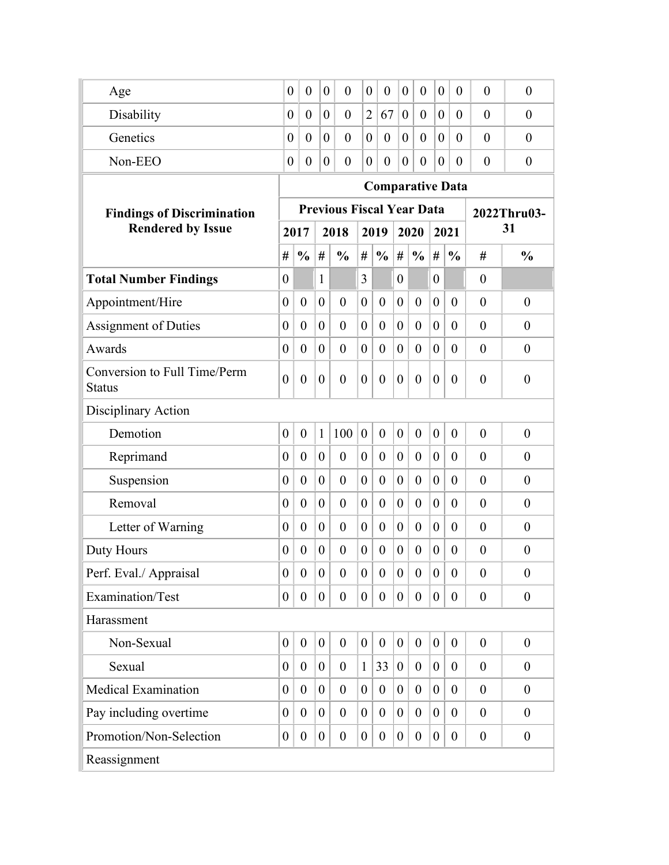| Age                                           | $\theta$                     | $\boldsymbol{0}$ | $\overline{0}$   | $\overline{0}$                   | $\boldsymbol{0}$ | $\theta$         | $\overline{0}$   | $\overline{0}$ | $\boldsymbol{0}$ | $\overline{0}$          | $\overline{0}$ | $\overline{0}$   |  |
|-----------------------------------------------|------------------------------|------------------|------------------|----------------------------------|------------------|------------------|------------------|----------------|------------------|-------------------------|----------------|------------------|--|
| Disability                                    | $\overline{0}$               | $\overline{0}$   | $\overline{0}$   | $\overline{0}$                   | $\overline{2}$   | 67               | $\overline{0}$   | $\overline{0}$ | $\overline{0}$   | $\theta$                | $\overline{0}$ | $\overline{0}$   |  |
| Genetics                                      | $\theta$                     | $\overline{0}$   | $\overline{0}$   | $\overline{0}$                   | $\boldsymbol{0}$ | $\theta$         | $\theta$         | $\overline{0}$ | $\overline{0}$   | $\theta$                | $\theta$       | $\theta$         |  |
| Non-EEO                                       | $\theta$                     | $\overline{0}$   | $\overline{0}$   | $\overline{0}$                   | $\theta$         | $\theta$         | $\theta$         | $\overline{0}$ | $\theta$         | $\theta$                | $\overline{0}$ | $\overline{0}$   |  |
|                                               |                              |                  |                  |                                  |                  |                  |                  |                |                  | <b>Comparative Data</b> |                |                  |  |
| <b>Findings of Discrimination</b>             |                              |                  |                  | <b>Previous Fiscal Year Data</b> |                  |                  |                  |                |                  |                         |                | 2022Thru03-      |  |
| <b>Rendered by Issue</b>                      | 2017<br>2018<br>2019<br>2020 |                  |                  |                                  |                  |                  |                  |                |                  | 2021                    | 31             |                  |  |
|                                               | #                            | $\frac{0}{0}$    | #                | $\frac{0}{0}$                    | #                | $\frac{0}{0}$    | #                | $\frac{0}{0}$  | #                | $\frac{0}{0}$           | #              | $\frac{0}{0}$    |  |
| <b>Total Number Findings</b>                  | $\boldsymbol{0}$             |                  | $\mathbf{1}$     |                                  | 3                |                  | $\overline{0}$   |                | $\boldsymbol{0}$ |                         | $\theta$       |                  |  |
| Appointment/Hire                              | $\boldsymbol{0}$             | $\overline{0}$   | $\boldsymbol{0}$ | $\overline{0}$                   | $\overline{0}$   | $\boldsymbol{0}$ | $\boldsymbol{0}$ | $\theta$       | $\boldsymbol{0}$ | $\theta$                | $\theta$       | $\boldsymbol{0}$ |  |
| <b>Assignment of Duties</b>                   | $\boldsymbol{0}$             | $\theta$         | $\theta$         | $\theta$                         | $\overline{0}$   | $\boldsymbol{0}$ | $\boldsymbol{0}$ | $\overline{0}$ | $\boldsymbol{0}$ | $\theta$                | $\theta$       | $\theta$         |  |
| Awards                                        | $\overline{0}$               | $\theta$         | $\theta$         | $\theta$                         | $\overline{0}$   | $\boldsymbol{0}$ | $\overline{0}$   | $\overline{0}$ | $\overline{0}$   | $\overline{0}$          | $\overline{0}$ | $\boldsymbol{0}$ |  |
| Conversion to Full Time/Perm<br><b>Status</b> | $\overline{0}$               | $\overline{0}$   | $\boldsymbol{0}$ | $\theta$                         | $\overline{0}$   | $\theta$         | $\overline{0}$   | $\theta$       | $\boldsymbol{0}$ | $\Omega$                | $\theta$       | $\overline{0}$   |  |
| Disciplinary Action                           |                              |                  |                  |                                  |                  |                  |                  |                |                  |                         |                |                  |  |
| Demotion                                      | $\overline{0}$               | $\theta$         | $\mathbf{1}$     | 100                              | $\overline{0}$   | $\boldsymbol{0}$ | $\mathbf{0}$     | $\overline{0}$ | $\overline{0}$   | $\theta$                | $\theta$       | $\overline{0}$   |  |
| Reprimand                                     | $\boldsymbol{0}$             | $\theta$         | $\theta$         | $\theta$                         | $\overline{0}$   | $\boldsymbol{0}$ | $\overline{0}$   | $\overline{0}$ | $\overline{0}$   | $\theta$                | $\theta$       | $\theta$         |  |
| Suspension                                    | $\overline{0}$               | $\theta$         | $\theta$         | $\theta$                         | $\overline{0}$   | $\boldsymbol{0}$ | $\overline{0}$   | $\overline{0}$ | $\overline{0}$   | $\overline{0}$          | $\overline{0}$ | $\theta$         |  |
| Removal                                       | $\overline{0}$               | $\theta$         | $\theta$         | $\overline{0}$                   | $\overline{0}$   | $\boldsymbol{0}$ | $\overline{0}$   | $\theta$       | $\overline{0}$   | $\theta$                | $\theta$       | $\theta$         |  |
| Letter of Warning                             | $\boldsymbol{0}$             | $\overline{0}$   | $\theta$         | $\overline{0}$                   | $\theta$         | $\boldsymbol{0}$ | $\overline{0}$   | $\theta$       | $\theta$         | $\theta$                | $\theta$       | $\theta$         |  |
| Duty Hours                                    | 0                            | $\theta$         | $\theta$         | $\overline{0}$                   | $\theta$         | $\boldsymbol{0}$ | $\theta$         | $\theta$       | $\theta$         | $\theta$                | $\theta$       | $\theta$         |  |
| Perf. Eval./ Appraisal                        | $\boldsymbol{0}$             | $\overline{0}$   | $\boldsymbol{0}$ | $\theta$                         | $\theta$         | $\theta$         | $\theta$         | $\overline{0}$ | $\boldsymbol{0}$ | $\theta$                | $\theta$       | $\boldsymbol{0}$ |  |
| Examination/Test                              | $\boldsymbol{0}$             | $\overline{0}$   | $\boldsymbol{0}$ | $\boldsymbol{0}$                 | $\boldsymbol{0}$ | $\boldsymbol{0}$ | $\mathbf{0}$     | $\theta$       | $\overline{0}$   | $\overline{0}$          | $\theta$       | $\boldsymbol{0}$ |  |
| Harassment                                    |                              |                  |                  |                                  |                  |                  |                  |                |                  |                         |                |                  |  |
| Non-Sexual                                    | $\overline{0}$               | $\overline{0}$   | $\boldsymbol{0}$ | $\overline{0}$                   | $\boldsymbol{0}$ | $\boldsymbol{0}$ | $\boldsymbol{0}$ | $\theta$       | $\overline{0}$   | $\theta$                | $\overline{0}$ | $\boldsymbol{0}$ |  |
| Sexual                                        | $\boldsymbol{0}$             | $\overline{0}$   | $\boldsymbol{0}$ | $\overline{0}$                   | $\mathbf{1}$     | 33               | $\overline{0}$   | $\theta$       | $\boldsymbol{0}$ | $\theta$                | $\overline{0}$ | $\overline{0}$   |  |
| <b>Medical Examination</b>                    | $\overline{0}$               | $\overline{0}$   | $\boldsymbol{0}$ | $\overline{0}$                   | $\overline{0}$   | $\boldsymbol{0}$ | $\theta$         | $\theta$       | $\boldsymbol{0}$ | $\theta$                | $\theta$       | $\boldsymbol{0}$ |  |
| Pay including overtime                        | $\boldsymbol{0}$             | $\overline{0}$   | $\overline{0}$   | $\overline{0}$                   | $\theta$         | $\overline{0}$   | $\theta$         | $\theta$       | $\theta$         | $\theta$                | $\overline{0}$ | $\theta$         |  |
| Promotion/Non-Selection                       | $\overline{0}$               | $\overline{0}$   | $\boldsymbol{0}$ | $\overline{0}$                   | $\boldsymbol{0}$ | $\overline{0}$   | $\boldsymbol{0}$ | $\overline{0}$ | $\overline{0}$   | $\overline{0}$          | $\theta$       | $\boldsymbol{0}$ |  |
| Reassignment                                  |                              |                  |                  |                                  |                  |                  |                  |                |                  |                         |                |                  |  |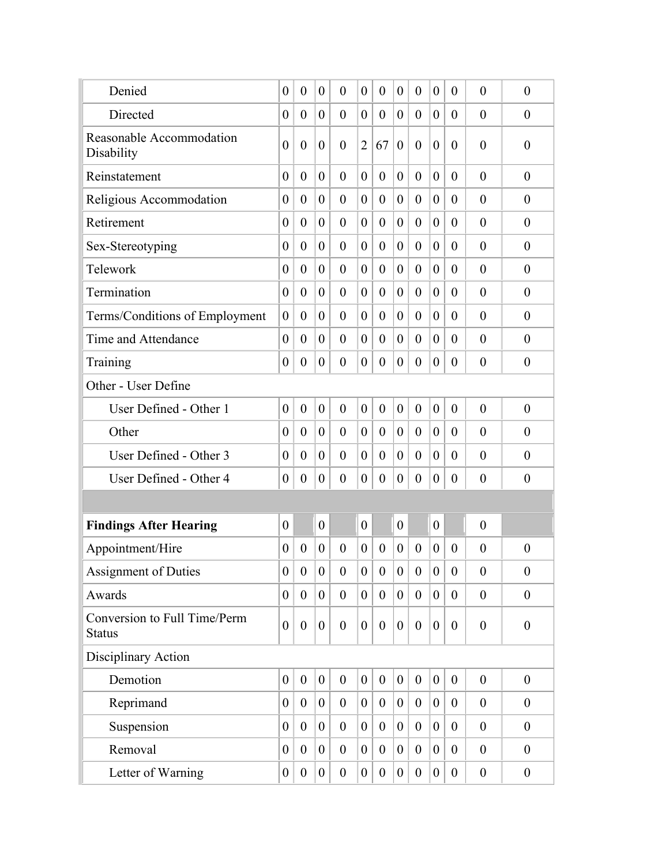| Denied                                        | $\boldsymbol{0}$ | $\boldsymbol{0}$ | $\theta$         | $\overline{0}$   | $\theta$         | $\boldsymbol{0}$ | $\boldsymbol{0}$ | $\theta$         | $\boldsymbol{0}$ | $\theta$         | $\overline{0}$   | $\boldsymbol{0}$ |
|-----------------------------------------------|------------------|------------------|------------------|------------------|------------------|------------------|------------------|------------------|------------------|------------------|------------------|------------------|
| Directed                                      | $\boldsymbol{0}$ | $\boldsymbol{0}$ | $\boldsymbol{0}$ | $\overline{0}$   | $\boldsymbol{0}$ | $\boldsymbol{0}$ | $\boldsymbol{0}$ | $\theta$         | $\overline{0}$   | $\theta$         | $\theta$         | $\theta$         |
| Reasonable Accommodation<br>Disability        | $\overline{0}$   | $\boldsymbol{0}$ | $\boldsymbol{0}$ | $\overline{0}$   | $\overline{2}$   | 67               | $\overline{0}$   | $\overline{0}$   | $\boldsymbol{0}$ | $\theta$         | $\theta$         | $\boldsymbol{0}$ |
| Reinstatement                                 | $\boldsymbol{0}$ | $\overline{0}$   | $\theta$         | $\theta$         | $\overline{0}$   | $\boldsymbol{0}$ | $\theta$         | $\overline{0}$   | $\theta$         | $\theta$         | $\overline{0}$   | $\boldsymbol{0}$ |
| Religious Accommodation                       | $\boldsymbol{0}$ | $\boldsymbol{0}$ | $\boldsymbol{0}$ | $\overline{0}$   | $\boldsymbol{0}$ | $\boldsymbol{0}$ | $\boldsymbol{0}$ | $\overline{0}$   | $\boldsymbol{0}$ | $\theta$         | $\theta$         | $\theta$         |
| Retirement                                    | $\boldsymbol{0}$ | $\overline{0}$   | $\theta$         | $\overline{0}$   | $\theta$         | $\boldsymbol{0}$ | $\boldsymbol{0}$ | $\theta$         | $\theta$         | $\theta$         | $\theta$         | $\boldsymbol{0}$ |
| Sex-Stereotyping                              | $\boldsymbol{0}$ | $\theta$         | $\boldsymbol{0}$ | $\overline{0}$   | $\overline{0}$   | $\boldsymbol{0}$ | $\boldsymbol{0}$ | $\theta$         | $\boldsymbol{0}$ | $\theta$         | $\theta$         | $\theta$         |
| Telework                                      | $\boldsymbol{0}$ | $\boldsymbol{0}$ | $\boldsymbol{0}$ | $\theta$         | $\boldsymbol{0}$ | $\boldsymbol{0}$ | $\boldsymbol{0}$ | $\theta$         | $\boldsymbol{0}$ | $\theta$         | $\theta$         | $\theta$         |
| Termination                                   | $\boldsymbol{0}$ | $\boldsymbol{0}$ | $\boldsymbol{0}$ | $\overline{0}$   | $\boldsymbol{0}$ | $\boldsymbol{0}$ | $\theta$         | $\theta$         | $\boldsymbol{0}$ | $\theta$         | $\overline{0}$   | $\overline{0}$   |
| Terms/Conditions of Employment                | $\boldsymbol{0}$ | $\overline{0}$   | $\overline{0}$   | $\theta$         | $\overline{0}$   | $\boldsymbol{0}$ | $\theta$         | $\overline{0}$   | $\overline{0}$   | $\theta$         | $\theta$         | $\theta$         |
| Time and Attendance                           | $\boldsymbol{0}$ | $\overline{0}$   | $\theta$         | $\theta$         | $\overline{0}$   | $\boldsymbol{0}$ | $\overline{0}$   | $\overline{0}$   | $\theta$         | $\theta$         | $\overline{0}$   | $\boldsymbol{0}$ |
| Training                                      | $\overline{0}$   | $\boldsymbol{0}$ | $\overline{0}$   | $\theta$         | $\overline{0}$   | $\overline{0}$   | $\theta$         | $\overline{0}$   | $\overline{0}$   | $\theta$         | $\theta$         | $\theta$         |
| Other - User Define                           |                  |                  |                  |                  |                  |                  |                  |                  |                  |                  |                  |                  |
| User Defined - Other 1                        | $\boldsymbol{0}$ | $\boldsymbol{0}$ | $\boldsymbol{0}$ | $\theta$         | $\boldsymbol{0}$ | $\boldsymbol{0}$ | $\boldsymbol{0}$ | $\boldsymbol{0}$ | $\boldsymbol{0}$ | $\overline{0}$   | $\theta$         | $\boldsymbol{0}$ |
| Other                                         | $\boldsymbol{0}$ | $\overline{0}$   | $\theta$         | $\theta$         | $\overline{0}$   | $\boldsymbol{0}$ | $\boldsymbol{0}$ | $\overline{0}$   | $\theta$         | $\theta$         | $\theta$         | $\boldsymbol{0}$ |
| User Defined - Other 3                        | $\boldsymbol{0}$ | $\boldsymbol{0}$ | $\boldsymbol{0}$ | $\overline{0}$   | $\boldsymbol{0}$ | $\boldsymbol{0}$ | $\boldsymbol{0}$ | $\overline{0}$   | $\boldsymbol{0}$ | $\theta$         | $\theta$         | $\theta$         |
| User Defined - Other 4                        | 0                | $\boldsymbol{0}$ | $\boldsymbol{0}$ | $\boldsymbol{0}$ | $\theta$         | $\boldsymbol{0}$ | $\theta$         | $\overline{0}$   | $\boldsymbol{0}$ | $\theta$         | $\theta$         | $\theta$         |
|                                               |                  |                  |                  |                  |                  |                  |                  |                  |                  |                  |                  |                  |
| <b>Findings After Hearing</b>                 | $\boldsymbol{0}$ |                  | $\boldsymbol{0}$ |                  | $\boldsymbol{0}$ |                  | $\boldsymbol{0}$ |                  | $\boldsymbol{0}$ |                  | $\boldsymbol{0}$ |                  |
| Appointment/Hire                              | $\boldsymbol{0}$ | $\boldsymbol{0}$ | $\boldsymbol{0}$ | $\overline{0}$   | $\overline{0}$   | $\boldsymbol{0}$ | $\theta$         | $\overline{0}$   | $\boldsymbol{0}$ | $\theta$         | $\overline{0}$   | $\boldsymbol{0}$ |
| <b>Assignment of Duties</b>                   | $\overline{0}$   | $\boldsymbol{0}$ | $\boldsymbol{0}$ | $\boldsymbol{0}$ | $\boldsymbol{0}$ | $\boldsymbol{0}$ | $\boldsymbol{0}$ | $\boldsymbol{0}$ | $\overline{0}$   | $\boldsymbol{0}$ | $\boldsymbol{0}$ | $\boldsymbol{0}$ |
| Awards                                        | $\overline{0}$   | $\mathbf{0}$     | $\overline{0}$   | $\mathbf{0}$     | $\overline{0}$   | $\mathbf{0}$     | $\overline{0}$   | $\mathbf{0}$     | $\overline{0}$   | $\mathbf{0}$     | $\boldsymbol{0}$ | $\boldsymbol{0}$ |
| Conversion to Full Time/Perm<br><b>Status</b> | $\boldsymbol{0}$ | $\boldsymbol{0}$ | $\boldsymbol{0}$ | $\boldsymbol{0}$ | $\boldsymbol{0}$ | $\boldsymbol{0}$ | $\boldsymbol{0}$ | $\overline{0}$   | $\boldsymbol{0}$ | $\theta$         | $\overline{0}$   | $\boldsymbol{0}$ |
| Disciplinary Action                           |                  |                  |                  |                  |                  |                  |                  |                  |                  |                  |                  |                  |
| Demotion                                      | $\overline{0}$   | $\boldsymbol{0}$ | $\boldsymbol{0}$ | $\boldsymbol{0}$ | $\overline{0}$   | $\mathbf{0}$     | $\boldsymbol{0}$ | $\mathbf{0}$     | $\boldsymbol{0}$ | $\mathbf{0}$     | $\theta$         | $\boldsymbol{0}$ |
| Reprimand                                     | $\overline{0}$   | $\overline{0}$   | $\overline{0}$   | $\overline{0}$   | $\overline{0}$   | $\overline{0}$   | $\overline{0}$   | $\overline{0}$   | $\overline{0}$   | $\theta$         | $\theta$         | $\overline{0}$   |
| Suspension                                    | $\overline{0}$   | $\overline{0}$   | $\overline{0}$   | $\overline{0}$   | $\overline{0}$   | $\mathbf{0}$     | $\theta$         | $\overline{0}$   | $\overline{0}$   | $\theta$         | $\mathbf{0}$     | $\boldsymbol{0}$ |
| Removal                                       | $\boldsymbol{0}$ | $\theta$         | $\overline{0}$   | $\overline{0}$   | $\overline{0}$   | $\boldsymbol{0}$ | $\overline{0}$   | $\theta$         | $\boldsymbol{0}$ | $\theta$         | $\overline{0}$   | $\overline{0}$   |
| Letter of Warning                             | $\boldsymbol{0}$ | $\boldsymbol{0}$ | $\overline{0}$   | $\boldsymbol{0}$ | $\overline{0}$   | $\overline{0}$   | $\boldsymbol{0}$ | $\boldsymbol{0}$ | $\overline{0}$   | $\theta$         | $\boldsymbol{0}$ | $\boldsymbol{0}$ |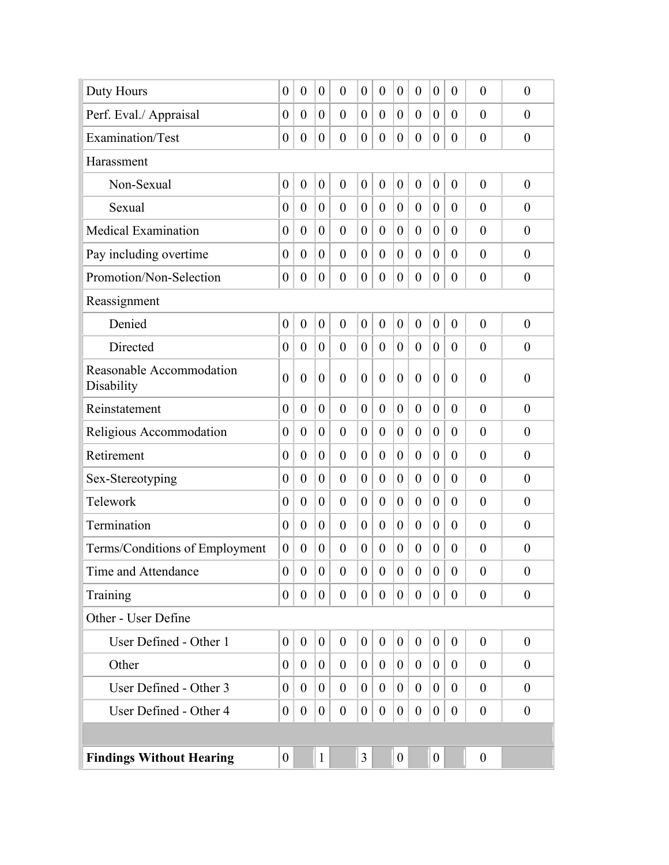| Duty Hours                             | $\overline{0}$   | $\overline{0}$   | $\boldsymbol{0}$ | $\theta$         | $\theta$         | $\boldsymbol{0}$ | $\boldsymbol{0}$ | $\overline{0}$   | $\theta$         | $\theta$         | $\overline{0}$   | $\theta$         |
|----------------------------------------|------------------|------------------|------------------|------------------|------------------|------------------|------------------|------------------|------------------|------------------|------------------|------------------|
| Perf. Eval./ Appraisal                 | $\boldsymbol{0}$ | $\theta$         | $\theta$         | $\theta$         | $\theta$         | $\boldsymbol{0}$ | $\theta$         | $\overline{0}$   | $\theta$         | $\theta$         | $\theta$         | $\theta$         |
| Examination/Test                       | $\boldsymbol{0}$ | $\boldsymbol{0}$ | $\boldsymbol{0}$ | $\overline{0}$   | $\theta$         | $\overline{0}$   | $\theta$         | $\overline{0}$   | $\boldsymbol{0}$ | $\theta$         | $\theta$         | $\theta$         |
| Harassment                             |                  |                  |                  |                  |                  |                  |                  |                  |                  |                  |                  |                  |
| Non-Sexual                             | $\boldsymbol{0}$ | $\boldsymbol{0}$ | $\boldsymbol{0}$ | $\overline{0}$   | $\overline{0}$   | $\boldsymbol{0}$ | $\overline{0}$   | $\overline{0}$   | $\boldsymbol{0}$ | $\overline{0}$   | $\overline{0}$   | $\theta$         |
| Sexual                                 | $\overline{0}$   | $\overline{0}$   | $\theta$         | $\overline{0}$   | $\overline{0}$   | $\overline{0}$   | $\overline{0}$   | $\overline{0}$   | $\theta$         | $\theta$         | $\overline{0}$   | $\theta$         |
| Medical Examination                    | $\overline{0}$   | $\theta$         | $\theta$         | $\theta$         | $\theta$         | $\theta$         | $\theta$         | $\theta$         | $\overline{0}$   | $\theta$         | $\theta$         | $\theta$         |
| Pay including overtime                 | $\overline{0}$   | $\theta$         | $\theta$         | $\overline{0}$   | $\overline{0}$   | $\overline{0}$   | $\overline{0}$   | $\overline{0}$   | $\theta$         | $\theta$         | $\theta$         | $\overline{0}$   |
| Promotion/Non-Selection                | $\boldsymbol{0}$ | $\theta$         | $\theta$         | $\overline{0}$   | $\theta$         | $\theta$         | $\overline{0}$   | $\overline{0}$   | $\overline{0}$   | $\theta$         | $\theta$         | $\theta$         |
| Reassignment                           |                  |                  |                  |                  |                  |                  |                  |                  |                  |                  |                  |                  |
| Denied                                 | $\boldsymbol{0}$ | $\overline{0}$   | $\boldsymbol{0}$ | $\overline{0}$   | $\mathbf{0}$     | $\boldsymbol{0}$ | $\boldsymbol{0}$ | $\overline{0}$   | $\boldsymbol{0}$ | $\overline{0}$   | $\theta$         | $\theta$         |
| Directed                               | $\boldsymbol{0}$ | $\theta$         | $\theta$         | $\theta$         | $\theta$         | $\theta$         | $\theta$         | $\overline{0}$   | $\theta$         | $\theta$         | $\theta$         | $\theta$         |
| Reasonable Accommodation<br>Disability | $\overline{0}$   | $\overline{0}$   | $\boldsymbol{0}$ | $\overline{0}$   | $\overline{0}$   | $\theta$         | $\overline{0}$   | $\theta$         | $\theta$         | $\theta$         | $\overline{0}$   | $\boldsymbol{0}$ |
| Reinstatement                          | $\boldsymbol{0}$ | $\overline{0}$   | $\overline{0}$   | $\overline{0}$   | $\theta$         | $\boldsymbol{0}$ | $\boldsymbol{0}$ | $\overline{0}$   | $\theta$         | $\theta$         | $\theta$         | $\theta$         |
| Religious Accommodation                | $\boldsymbol{0}$ | $\overline{0}$   | $\theta$         | $\theta$         | $\theta$         | $\boldsymbol{0}$ | $\theta$         | $\overline{0}$   | $\overline{0}$   | $\overline{0}$   | $\overline{0}$   | $\theta$         |
| Retirement                             | $\boldsymbol{0}$ | $\overline{0}$   | $\theta$         | $\overline{0}$   | $\theta$         | $\boldsymbol{0}$ | $\boldsymbol{0}$ | $\overline{0}$   | $\boldsymbol{0}$ | $\overline{0}$   | $\theta$         | $\theta$         |
| Sex-Stereotyping                       | $\boldsymbol{0}$ | $\overline{0}$   | $\theta$         | $\theta$         | $\theta$         | $\boldsymbol{0}$ | $\theta$         | $\overline{0}$   | $\overline{0}$   | $\theta$         | $\theta$         | $\theta$         |
| Telework                               | $\boldsymbol{0}$ | $\overline{0}$   | $\theta$         | $\overline{0}$   | $\theta$         | $\boldsymbol{0}$ | $\overline{0}$   | $\overline{0}$   | $\overline{0}$   | $\theta$         | $\theta$         | $\overline{0}$   |
| Termination                            | $\theta$         | $\overline{0}$   | $\boldsymbol{0}$ | $\theta$         | $\theta$         | $\boldsymbol{0}$ | $\theta$         | $\overline{0}$   | $\overline{0}$   | $\theta$         | $\overline{0}$   | $\theta$         |
| Terms/Conditions of Employment         | $\boldsymbol{0}$ | $\theta$         | $\boldsymbol{0}$ | $\theta$         | $\theta$         | $\boldsymbol{0}$ | $\theta$         | $\overline{0}$   | $\theta$         | $\theta$         | $\theta$         | $\boldsymbol{0}$ |
| Time and Attendance                    | $\boldsymbol{0}$ | $\overline{0}$   | $\overline{0}$   | $\overline{0}$   | $\theta$         | $\mathbf{0}$     | $\boldsymbol{0}$ | $\overline{0}$   | $\overline{0}$   | $\overline{0}$   | $\theta$         | $\boldsymbol{0}$ |
| Training                               | $\boldsymbol{0}$ | $\overline{0}$   | $\overline{0}$   | $\mathbf{0}$     | $\overline{0}$   | $\overline{0}$   | $\overline{0}$   | $\overline{0}$   | $\overline{0}$   | $\mathbf{0}$     | $\overline{0}$   | $\boldsymbol{0}$ |
| Other - User Define                    |                  |                  |                  |                  |                  |                  |                  |                  |                  |                  |                  |                  |
| User Defined - Other 1                 | $\boldsymbol{0}$ | $\boldsymbol{0}$ | $\overline{0}$   | $\boldsymbol{0}$ | $\boldsymbol{0}$ | $\boldsymbol{0}$ | $\boldsymbol{0}$ | $\boldsymbol{0}$ | $\boldsymbol{0}$ | $\boldsymbol{0}$ | $\overline{0}$   | $\boldsymbol{0}$ |
| Other                                  | $\boldsymbol{0}$ | $\overline{0}$   | $\mathbf{0}$     | $\boldsymbol{0}$ | $\boldsymbol{0}$ | $\overline{0}$   | $\boldsymbol{0}$ | $\overline{0}$   | $\overline{0}$   | $\theta$         | $\theta$         | $\boldsymbol{0}$ |
| User Defined - Other 3                 | $\boldsymbol{0}$ | $\theta$         | $\boldsymbol{0}$ | $\overline{0}$   | $\theta$         | $\overline{0}$   | $\boldsymbol{0}$ | $\theta$         | $\theta$         | $\theta$         | $\overline{0}$   | $\overline{0}$   |
| User Defined - Other 4                 | $\boldsymbol{0}$ | $\boldsymbol{0}$ | $\boldsymbol{0}$ | $\boldsymbol{0}$ | $\boldsymbol{0}$ | $\boldsymbol{0}$ | $\boldsymbol{0}$ | $\boldsymbol{0}$ | $\boldsymbol{0}$ | $\boldsymbol{0}$ | $\boldsymbol{0}$ | $\boldsymbol{0}$ |
|                                        |                  |                  |                  |                  |                  |                  |                  |                  |                  |                  |                  |                  |
| <b>Findings Without Hearing</b>        | $\boldsymbol{0}$ |                  | $\mathbf{1}$     |                  | 3                |                  | $\boldsymbol{0}$ |                  | $\boldsymbol{0}$ |                  | $\boldsymbol{0}$ |                  |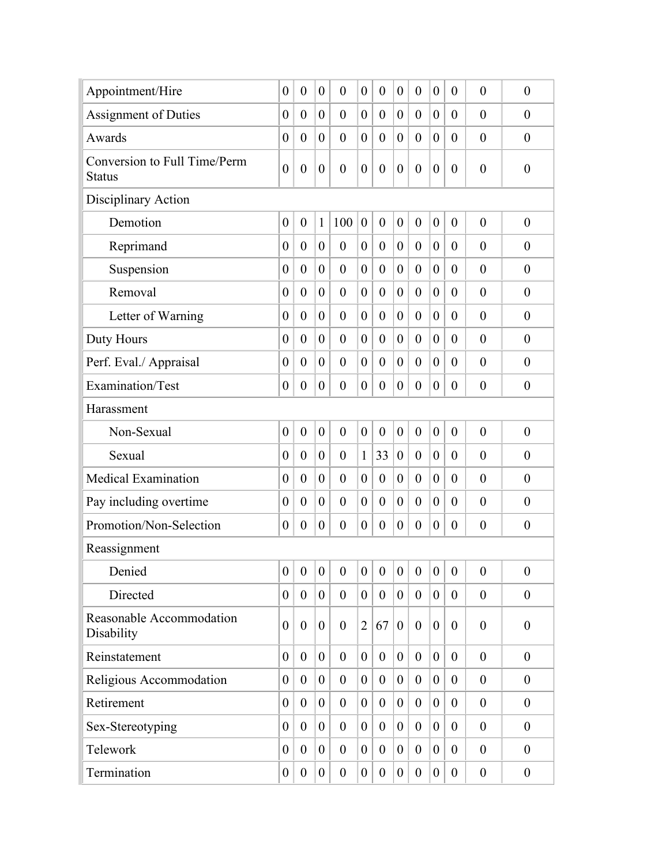| Appointment/Hire                              | $\boldsymbol{0}$ | $\overline{0}$   | $\boldsymbol{0}$ | $\overline{0}$   | $\theta$         | $\boldsymbol{0}$ | $\boldsymbol{0}$ | $\overline{0}$   | $\boldsymbol{0}$ | $\boldsymbol{0}$ | $\theta$         | $\boldsymbol{0}$ |
|-----------------------------------------------|------------------|------------------|------------------|------------------|------------------|------------------|------------------|------------------|------------------|------------------|------------------|------------------|
| <b>Assignment of Duties</b>                   | $\boldsymbol{0}$ | $\theta$         | $\boldsymbol{0}$ | $\overline{0}$   | $\theta$         | $\boldsymbol{0}$ | $\boldsymbol{0}$ | $\overline{0}$   | $\boldsymbol{0}$ | $\theta$         | $\theta$         | $\theta$         |
| Awards                                        | $\boldsymbol{0}$ | $\overline{0}$   | $\boldsymbol{0}$ | $\theta$         | $\theta$         | $\overline{0}$   | $\theta$         | $\theta$         | $\overline{0}$   | $\overline{0}$   | $\theta$         | $\theta$         |
| Conversion to Full Time/Perm<br><b>Status</b> | $\boldsymbol{0}$ | $\boldsymbol{0}$ | $\boldsymbol{0}$ | $\overline{0}$   | $\overline{0}$   | $\boldsymbol{0}$ | $\boldsymbol{0}$ | $\boldsymbol{0}$ | $\boldsymbol{0}$ | $\theta$         | $\overline{0}$   | $\boldsymbol{0}$ |
| Disciplinary Action                           |                  |                  |                  |                  |                  |                  |                  |                  |                  |                  |                  |                  |
| Demotion                                      | $\boldsymbol{0}$ | $\boldsymbol{0}$ | 1                | 100              | $\boldsymbol{0}$ | $\boldsymbol{0}$ | $\boldsymbol{0}$ | $\boldsymbol{0}$ | $\boldsymbol{0}$ | $\overline{0}$   | $\theta$         | $\boldsymbol{0}$ |
| Reprimand                                     | $\boldsymbol{0}$ | $\theta$         | $\boldsymbol{0}$ | $\boldsymbol{0}$ | $\boldsymbol{0}$ | $\boldsymbol{0}$ | $\boldsymbol{0}$ | $\theta$         | $\boldsymbol{0}$ | $\theta$         | $\theta$         | $\theta$         |
| Suspension                                    | $\boldsymbol{0}$ | $\theta$         | $\boldsymbol{0}$ | $\theta$         | $\theta$         | $\boldsymbol{0}$ | $\boldsymbol{0}$ | $\theta$         | $\boldsymbol{0}$ | $\overline{0}$   | $\theta$         | $\theta$         |
| Removal                                       | $\boldsymbol{0}$ | $\theta$         | $\boldsymbol{0}$ | $\theta$         | $\overline{0}$   | $\boldsymbol{0}$ | $\overline{0}$   | $\overline{0}$   | $\theta$         | $\theta$         | $\overline{0}$   | $\overline{0}$   |
| Letter of Warning                             | $\boldsymbol{0}$ | $\overline{0}$   | $\theta$         | $\overline{0}$   | $\overline{0}$   | $\overline{0}$   | $\overline{0}$   | $\overline{0}$   | $\overline{0}$   | $\overline{0}$   | $\theta$         | $\theta$         |
| Duty Hours                                    | $\boldsymbol{0}$ | $\theta$         | $\theta$         | $\theta$         | $\overline{0}$   | $\boldsymbol{0}$ | $\overline{0}$   | $\theta$         | $\overline{0}$   | $\theta$         | $\theta$         | $\boldsymbol{0}$ |
| Perf. Eval./ Appraisal                        | $\boldsymbol{0}$ | $\theta$         | $\theta$         | $\theta$         | $\overline{0}$   | $\overline{0}$   | $\overline{0}$   | $\theta$         | $\theta$         | $\theta$         | $\theta$         | $\theta$         |
| Examination/Test                              | $\boldsymbol{0}$ | $\theta$         | $\theta$         | $\theta$         | $\overline{0}$   | $\overline{0}$   | $\overline{0}$   | $\overline{0}$   | $\theta$         | $\theta$         | $\overline{0}$   | $\boldsymbol{0}$ |
| Harassment                                    |                  |                  |                  |                  |                  |                  |                  |                  |                  |                  |                  |                  |
| Non-Sexual                                    | $\boldsymbol{0}$ | $\boldsymbol{0}$ | $\boldsymbol{0}$ | $\theta$         | $\overline{0}$   | $\boldsymbol{0}$ | $\boldsymbol{0}$ | $\overline{0}$   | $\boldsymbol{0}$ | $\boldsymbol{0}$ | $\theta$         | $\boldsymbol{0}$ |
| Sexual                                        | $\boldsymbol{0}$ | $\theta$         | $\boldsymbol{0}$ | $\overline{0}$   | $\mathbf{1}$     | 33               | $\boldsymbol{0}$ | $\theta$         | $\boldsymbol{0}$ | $\theta$         | $\theta$         | $\theta$         |
| <b>Medical Examination</b>                    | $\boldsymbol{0}$ | $\theta$         | $\boldsymbol{0}$ | $\overline{0}$   | $\theta$         | $\boldsymbol{0}$ | $\boldsymbol{0}$ | $\theta$         | $\boldsymbol{0}$ | $\overline{0}$   | $\theta$         | $\theta$         |
| Pay including overtime                        | $\boldsymbol{0}$ | $\overline{0}$   | $\boldsymbol{0}$ | $\theta$         | $\theta$         | $\boldsymbol{0}$ | $\overline{0}$   | $\overline{0}$   | $\theta$         | $\overline{0}$   | $\theta$         | $\overline{0}$   |
| Promotion/Non-Selection                       | $\boldsymbol{0}$ | $\theta$         | $\boldsymbol{0}$ | $\overline{0}$   | $\theta$         | $\boldsymbol{0}$ | $\boldsymbol{0}$ | $\theta$         | $\boldsymbol{0}$ | $\overline{0}$   | $\overline{0}$   | $\boldsymbol{0}$ |
| Reassignment                                  |                  |                  |                  |                  |                  |                  |                  |                  |                  |                  |                  |                  |
| Denied                                        | 0                | $\boldsymbol{0}$ | $\boldsymbol{0}$ | $\mathbf{0}$     | $\boldsymbol{0}$ | $\boldsymbol{0}$ | $\overline{0}$   | $\overline{0}$   | $\overline{0}$   | $\boldsymbol{0}$ | $\theta$         | $\boldsymbol{0}$ |
| Directed                                      | $\overline{0}$   | $\overline{0}$   | $\overline{0}$   | $\overline{0}$   | $\overline{0}$   | $\overline{0}$   | $\overline{0}$   | $\overline{0}$   | $\overline{0}$   | $\overline{0}$   | $\mathbf{0}$     | $\boldsymbol{0}$ |
| Reasonable Accommodation<br>Disability        | $\overline{0}$   | $\overline{0}$   | $\boldsymbol{0}$ | $\theta$         | $\overline{2}$   | 67               | $\boldsymbol{0}$ | $\overline{0}$   | $\boldsymbol{0}$ | $\theta$         | $\theta$         | $\boldsymbol{0}$ |
| Reinstatement                                 | $\overline{0}$   | $\overline{0}$   | $\theta$         | $\overline{0}$   | $\theta$         | $\theta$         | $\overline{0}$   | $\theta$         | $\theta$         | $\overline{0}$   | $\overline{0}$   | $\overline{0}$   |
| Religious Accommodation                       | $\overline{0}$   | $\overline{0}$   | $\boldsymbol{0}$ | $\overline{0}$   | $\overline{0}$   | $\boldsymbol{0}$ | $\theta$         | $\overline{0}$   | $\overline{0}$   | $\overline{0}$   | $\boldsymbol{0}$ | $\boldsymbol{0}$ |
| Retirement                                    | $\overline{0}$   | $\overline{0}$   | $\boldsymbol{0}$ | $\overline{0}$   | $\theta$         | $\theta$         | $\theta$         | $\overline{0}$   | $\theta$         | $\overline{0}$   | $\theta$         | $\overline{0}$   |
| Sex-Stereotyping                              | $\boldsymbol{0}$ | $\overline{0}$   | $\overline{0}$   | $\overline{0}$   | $\overline{0}$   | $\theta$         | $\theta$         | $\theta$         | $\overline{0}$   | $\overline{0}$   | $\mathbf{0}$     | $\boldsymbol{0}$ |
| Telework                                      | $\boldsymbol{0}$ | $\overline{0}$   | $\overline{0}$   | $\overline{0}$   | $\overline{0}$   | $\boldsymbol{0}$ | $\boldsymbol{0}$ | $\theta$         | $\theta$         | $\overline{0}$   | $\theta$         | $\overline{0}$   |
| Termination                                   | $\boldsymbol{0}$ | $\boldsymbol{0}$ | $\boldsymbol{0}$ | $\boldsymbol{0}$ | $\overline{0}$   | $\boldsymbol{0}$ | $\boldsymbol{0}$ | $\boldsymbol{0}$ | $\boldsymbol{0}$ | $\boldsymbol{0}$ | $\boldsymbol{0}$ | $\boldsymbol{0}$ |